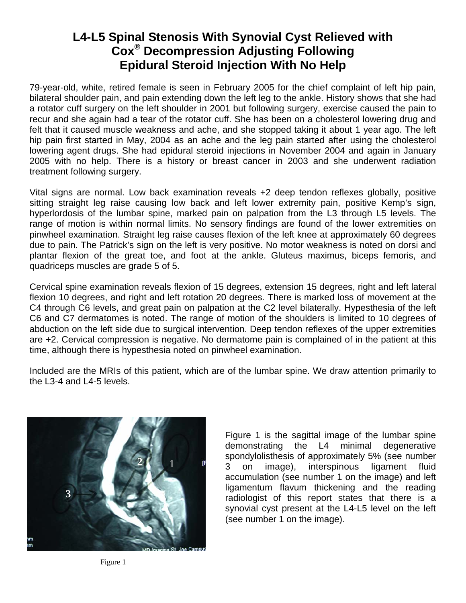## **L4-L5 Spinal Stenosis With Synovial Cyst Relieved with Cox® Decompression Adjusting Following Epidural Steroid Injection With No Help**

79-year-old, white, retired female is seen in February 2005 for the chief complaint of left hip pain, bilateral shoulder pain, and pain extending down the left leg to the ankle. History shows that she had a rotator cuff surgery on the left shoulder in 2001 but following surgery, exercise caused the pain to recur and she again had a tear of the rotator cuff. She has been on a cholesterol lowering drug and felt that it caused muscle weakness and ache, and she stopped taking it about 1 year ago. The left hip pain first started in May, 2004 as an ache and the leg pain started after using the cholesterol lowering agent drugs. She had epidural steroid injections in November 2004 and again in January 2005 with no help. There is a history or breast cancer in 2003 and she underwent radiation treatment following surgery.

Vital signs are normal. Low back examination reveals +2 deep tendon reflexes globally, positive sitting straight leg raise causing low back and left lower extremity pain, positive Kemp's sign, hyperlordosis of the lumbar spine, marked pain on palpation from the L3 through L5 levels. The range of motion is within normal limits. No sensory findings are found of the lower extremities on pinwheel examination. Straight leg raise causes flexion of the left knee at approximately 60 degrees due to pain. The Patrick's sign on the left is very positive. No motor weakness is noted on dorsi and plantar flexion of the great toe, and foot at the ankle. Gluteus maximus, biceps femoris, and quadriceps muscles are grade 5 of 5.

Cervical spine examination reveals flexion of 15 degrees, extension 15 degrees, right and left lateral flexion 10 degrees, and right and left rotation 20 degrees. There is marked loss of movement at the C4 through C6 levels, and great pain on palpation at the C2 level bilaterally. Hypesthesia of the left C6 and C7 dermatomes is noted. The range of motion of the shoulders is limited to 10 degrees of abduction on the left side due to surgical intervention. Deep tendon reflexes of the upper extremities are +2. Cervical compression is negative. No dermatome pain is complained of in the patient at this time, although there is hypesthesia noted on pinwheel examination.

Included are the MRIs of this patient, which are of the lumbar spine. We draw attention primarily to the L3-4 and L4-5 levels.



Figure 1 is the sagittal image of the lumbar spine demonstrating the L4 minimal degenerative spondylolisthesis of approximately 5% (see number 3 on image), interspinous ligament fluid accumulation (see number 1 on the image) and left ligamentum flavum thickening and the reading radiologist of this report states that there is a synovial cyst present at the L4-L5 level on the left (see number 1 on the image).

Figure 1